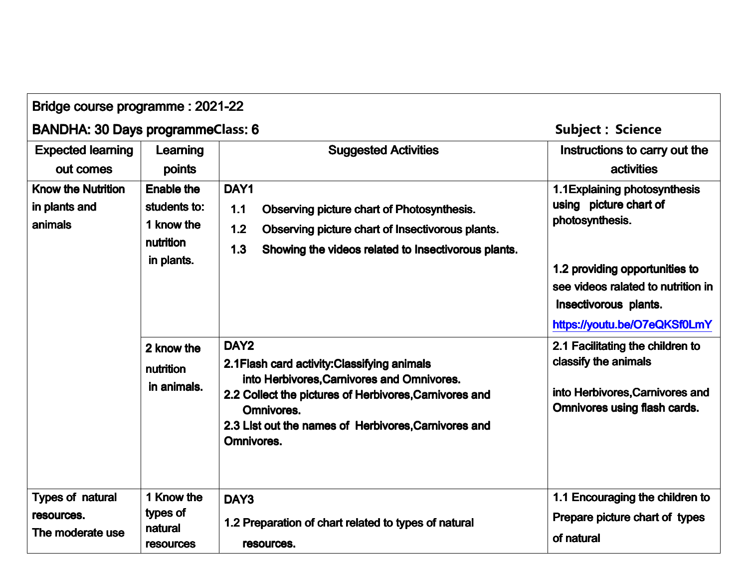| Bridge course programme: 2021-22                          |                                                                            |                                                                                                                                                                                                                                                              |                                                                                                                                                                                                             |  |
|-----------------------------------------------------------|----------------------------------------------------------------------------|--------------------------------------------------------------------------------------------------------------------------------------------------------------------------------------------------------------------------------------------------------------|-------------------------------------------------------------------------------------------------------------------------------------------------------------------------------------------------------------|--|
| <b>BANDHA: 30 Days programmeClass: 6</b>                  |                                                                            |                                                                                                                                                                                                                                                              | <b>Subject: Science</b>                                                                                                                                                                                     |  |
| <b>Expected learning</b><br>out comes                     | Learning<br>points                                                         | <b>Suggested Activities</b>                                                                                                                                                                                                                                  | Instructions to carry out the<br><b>activities</b>                                                                                                                                                          |  |
| <b>Know the Nutrition</b><br>in plants and<br>animals     | <b>Enable the</b><br>students to:<br>1 know the<br>nutrition<br>in plants. | DAY1<br>1.1<br>Observing picture chart of Photosynthesis.<br>1.2<br>Observing picture chart of Insectivorous plants.<br>1.3<br>Showing the videos related to Insectivorous plants.                                                                           | 1.1 Explaining photosynthesis<br>using picture chart of<br>photosynthesis.<br>1.2 providing opportunities to<br>see videos ralated to nutrition in<br>Insectivorous plants.<br>https://youtu.be/O7eQKSf0LmY |  |
|                                                           | 2 know the<br>nutrition<br>in animals.                                     | DAY <sub>2</sub><br>2.1 Flash card activity: Classifying animals<br>into Herbivores, Carnivores and Omnivores.<br>2.2 Collect the pictures of Herbivores, Carnivores and<br>Omnivores.<br>2.3 List out the names of Herbivores, Carnivores and<br>Omnivores. | 2.1 Facilitating the children to<br>classify the animals<br>into Herbivores, Carnivores and<br><b>Omnivores using flash cards.</b>                                                                          |  |
| <b>Types of natural</b><br>resources.<br>The moderate use | 1 Know the<br>types of<br>natural<br><b>resources</b>                      | DAY3<br>1.2 Preparation of chart related to types of natural<br>resources.                                                                                                                                                                                   | 1.1 Encouraging the children to<br>Prepare picture chart of types<br>of natural                                                                                                                             |  |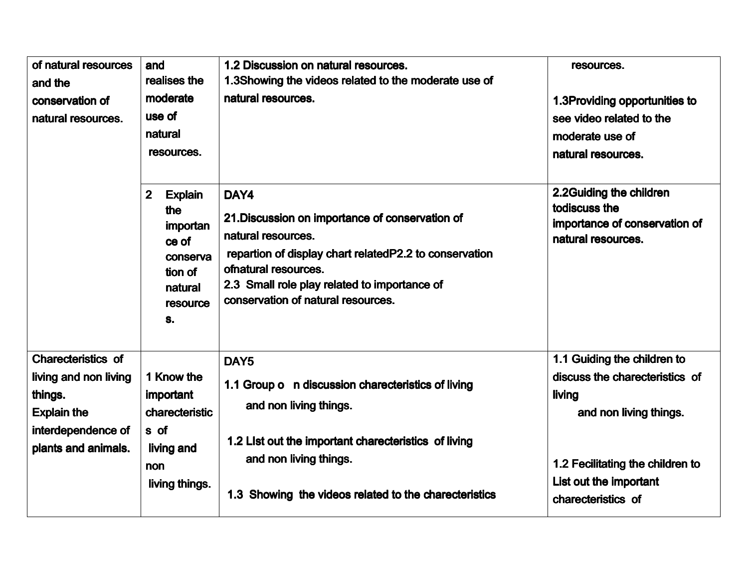| of natural resources<br>and the<br>conservation of<br>natural resources.                                                  | and<br>realises the<br>moderate<br>use of<br>natural<br>resources.                                             | 1.2 Discussion on natural resources.<br>1.3Showing the videos related to the moderate use of<br>natural resources.                                                                                                                                     | resources.<br>1.3Providing opportunities to<br>see video related to the<br>moderate use of<br>natural resources.                                                                      |
|---------------------------------------------------------------------------------------------------------------------------|----------------------------------------------------------------------------------------------------------------|--------------------------------------------------------------------------------------------------------------------------------------------------------------------------------------------------------------------------------------------------------|---------------------------------------------------------------------------------------------------------------------------------------------------------------------------------------|
|                                                                                                                           | $\mathbf{2}$<br><b>Explain</b><br>the<br>importan<br>ce of<br>conserva<br>tion of<br>natural<br>resource<br>S. | DAY4<br>21. Discussion on importance of conservation of<br>natural resources.<br>repartion of display chart related P2.2 to conservation<br>ofnatural resources.<br>2.3 Small role play related to importance of<br>conservation of natural resources. | 2.2Guiding the children<br>todiscuss the<br>importance of conservation of<br>natural resources.                                                                                       |
| Charecteristics of<br>living and non living<br>things.<br><b>Explain the</b><br>interdependence of<br>plants and animals. | 1 Know the<br>important<br>charecteristic<br>s of<br>living and<br>non<br>living things.                       | DAY <sub>5</sub><br>1.1 Group o n discussion charecteristics of living<br>and non living things.<br>1.2 List out the important charecteristics of living<br>and non living things.<br>1.3 Showing the videos related to the charecteristics            | 1.1 Guiding the children to<br>discuss the charecteristics of<br>living<br>and non living things.<br>1.2 Fecilitating the children to<br>List out the important<br>charecteristics of |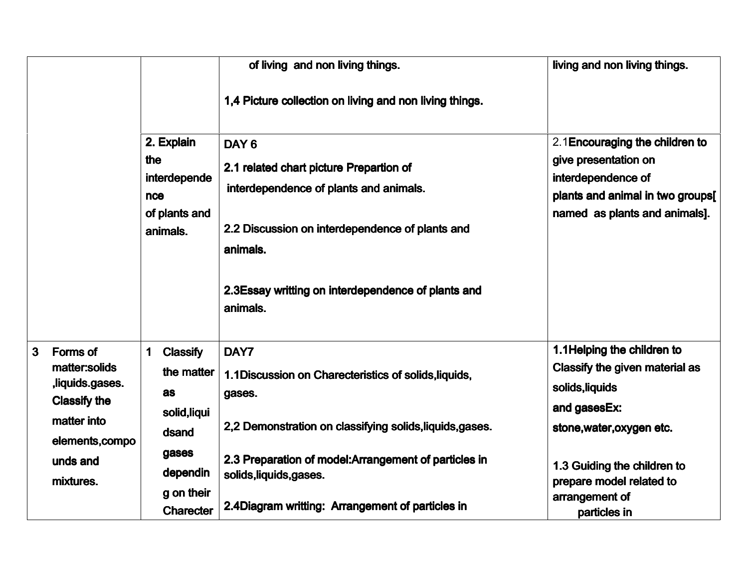|                                                                                                                                                       |                                                                                                                          | of living and non living things.                                                                                                                                                                                                                                            | living and non living things.                                                                                                                                                                                              |
|-------------------------------------------------------------------------------------------------------------------------------------------------------|--------------------------------------------------------------------------------------------------------------------------|-----------------------------------------------------------------------------------------------------------------------------------------------------------------------------------------------------------------------------------------------------------------------------|----------------------------------------------------------------------------------------------------------------------------------------------------------------------------------------------------------------------------|
|                                                                                                                                                       |                                                                                                                          | 1,4 Picture collection on living and non living things.                                                                                                                                                                                                                     |                                                                                                                                                                                                                            |
|                                                                                                                                                       | 2. Explain<br>the<br>interdepende<br>nce<br>of plants and<br>animals.                                                    | DAY <sub>6</sub><br>2.1 related chart picture Prepartion of<br>interdependence of plants and animals.<br>2.2 Discussion on interdependence of plants and<br>animals.<br>2.3Essay writting on interdependence of plants and<br>animals.                                      | 2.1 Encouraging the children to<br>give presentation on<br>interdependence of<br>plants and animal in two groups[<br>named as plants and animals].                                                                         |
| <b>Forms of</b><br>$\mathbf{3}$<br>matter:solids<br>,liquids.gases.<br><b>Classify the</b><br>matter into<br>elements, compo<br>unds and<br>mixtures. | <b>Classify</b><br>1<br>the matter<br>as<br>solid, liqui<br>dsand<br>gases<br>dependin<br>g on their<br><b>Charecter</b> | DAY7<br>1.1 Discussion on Charecteristics of solids, liquids,<br>gases.<br>2,2 Demonstration on classifying solids, liquids, gases.<br>2.3 Preparation of model: Arrangement of particles in<br>solids, liquids, gases.<br>2.4Diagram writting: Arrangement of particles in | 1.1 Helping the children to<br>Classify the given material as<br>solids, liquids<br>and gasesEx:<br>stone, water, oxygen etc.<br>1.3 Guiding the children to<br>prepare model related to<br>arrangement of<br>particles in |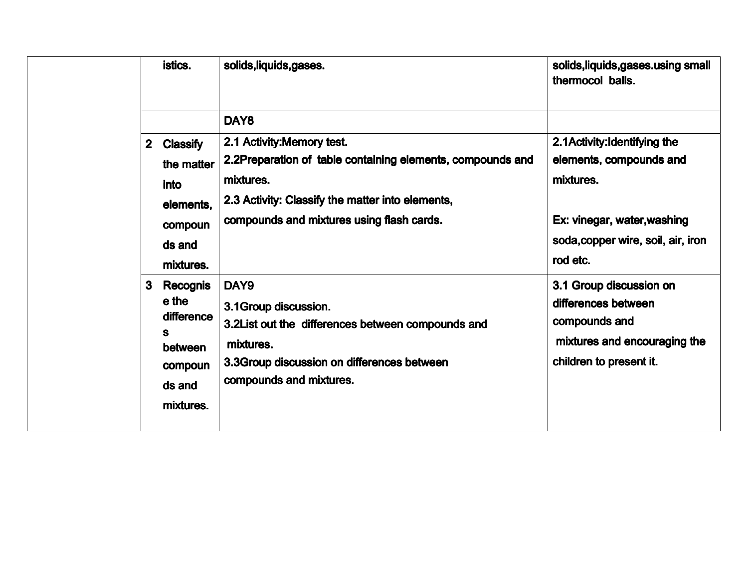|              | istics.                                                                              | solids, liquids, gases.                                                                                                                                                                                | solids, liquids, gases. using small<br>thermocol balls.                                                                    |
|--------------|--------------------------------------------------------------------------------------|--------------------------------------------------------------------------------------------------------------------------------------------------------------------------------------------------------|----------------------------------------------------------------------------------------------------------------------------|
|              |                                                                                      | DAY <sub>8</sub>                                                                                                                                                                                       | 2.1 Activity: Identifying the                                                                                              |
| $\mathbf{2}$ | <b>Classify</b><br>the matter<br>into<br>elements,<br>compoun<br>ds and<br>mixtures. | 2.1 Activity: Memory test.<br>2.2Preparation of table containing elements, compounds and<br>mixtures.<br>2.3 Activity: Classify the matter into elements,<br>compounds and mixtures using flash cards. | elements, compounds and<br>mixtures.<br>Ex: vinegar, water, washing<br>soda, copper wire, soil, air, iron<br>rod etc.      |
| 3            | <b>Recognis</b><br>e the<br>difference<br>between<br>compoun<br>ds and<br>mixtures.  | DAY9<br>3.1 Group discussion.<br>3.2List out the differences between compounds and<br>mixtures.<br>3.3 Group discussion on differences between<br>compounds and mixtures.                              | 3.1 Group discussion on<br>differences between<br>compounds and<br>mixtures and encouraging the<br>children to present it. |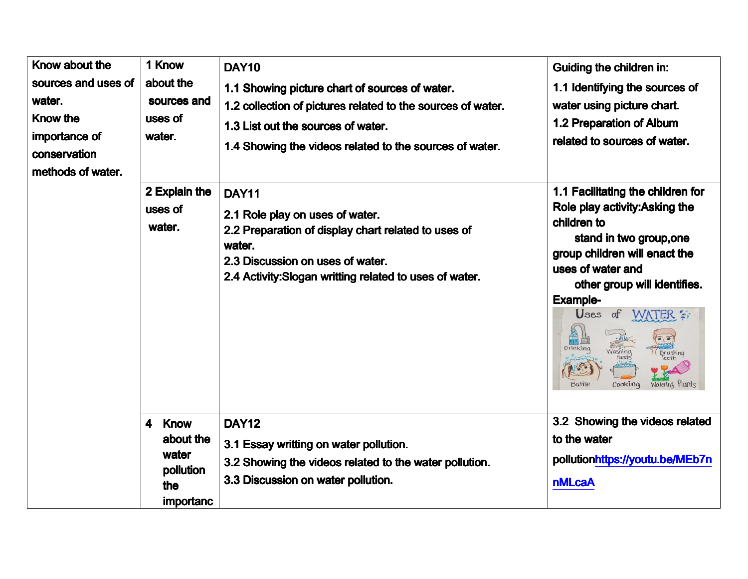| Know about the<br>sources and uses of<br>water.<br><b>Know the</b><br>importance of<br>conservation<br>methods of water. | 1 Know<br>about the<br>sources and<br>uses of<br>water.                                              | <b>DAY10</b><br>1.1 Showing picture chart of sources of water.<br>1.2 collection of pictures related to the sources of water.<br>1.3 List out the sources of water.<br>1.4 Showing the videos related to the sources of water. | Guiding the children in:<br>1.1 Identifying the sources of<br>water using picture chart.<br>1.2 Preparation of Album<br>related to sources of water.                                                                                                                                                                                             |
|--------------------------------------------------------------------------------------------------------------------------|------------------------------------------------------------------------------------------------------|--------------------------------------------------------------------------------------------------------------------------------------------------------------------------------------------------------------------------------|--------------------------------------------------------------------------------------------------------------------------------------------------------------------------------------------------------------------------------------------------------------------------------------------------------------------------------------------------|
|                                                                                                                          | 2 Explain the<br>uses of<br>water.                                                                   | <b>DAY11</b><br>2.1 Role play on uses of water.<br>2.2 Preparation of display chart related to uses of<br>water.<br>2.3 Discussion on uses of water.<br>2.4 Activity: Slogan writting related to uses of water.                | 1.1 Facilitating the children for<br>Role play activity: Asking the<br>children to<br>stand in two group, one<br>group children will enact the<br>uses of water and<br>other group will identifies.<br><b>Example-</b><br>Uses<br>$\sigma f$<br><b>WATER</b><br>Drinking<br>Washing<br>(Brushing<br>Hands<br>Cooking<br>Watering Plants<br>Bathe |
|                                                                                                                          | <b>Know</b><br>$\overline{\mathbf{4}}$<br>about the<br>water<br>pollution<br>the<br><i>importanc</i> | <b>DAY12</b><br>3.1 Essay writting on water pollution.<br>3.2 Showing the videos related to the water pollution.<br>3.3 Discussion on water pollution.                                                                         | 3.2 Showing the videos related<br>to the water<br>pollutionhttps://youtu.be/MEb7n<br><b>nMLcaA</b>                                                                                                                                                                                                                                               |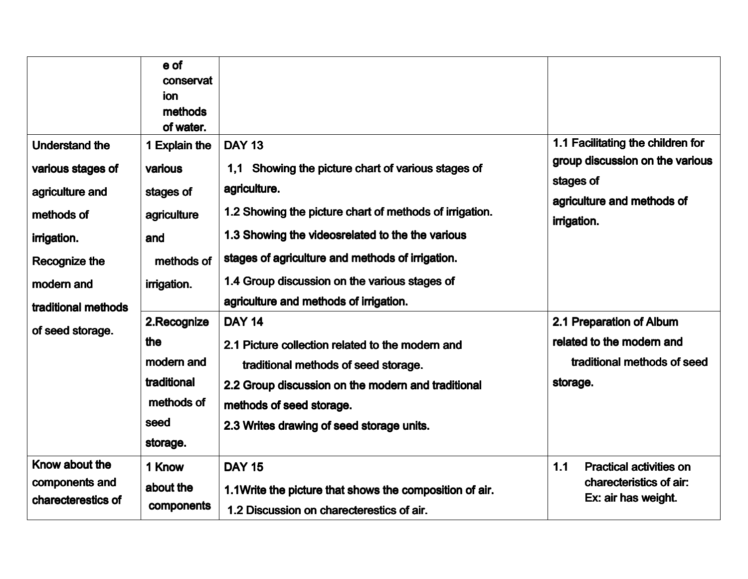|                                      | e of<br>conservat<br>ion<br>methods<br>of water. |                                                         |             |                                                                      |
|--------------------------------------|--------------------------------------------------|---------------------------------------------------------|-------------|----------------------------------------------------------------------|
| <b>Understand the</b>                | 1 Explain the                                    | <b>DAY 13</b>                                           |             | 1.1 Facilitating the children for<br>group discussion on the various |
| various stages of                    | various                                          | Showing the picture chart of various stages of<br>1,1   |             |                                                                      |
| agriculture and                      | stages of                                        | agriculture.                                            | stages of   | agriculture and methods of                                           |
| methods of                           | agriculture                                      | 1.2 Showing the picture chart of methods of irrigation. | irrigation. |                                                                      |
| irrigation.                          | and                                              | 1.3 Showing the videosrelated to the the various        |             |                                                                      |
| Recognize the                        | methods of                                       | stages of agriculture and methods of irrigation.        |             |                                                                      |
| modern and                           | irrigation.                                      | 1.4 Group discussion on the various stages of           |             |                                                                      |
| traditional methods                  |                                                  | agriculture and methods of irrigation.                  |             |                                                                      |
| of seed storage.                     | 2.Recognize                                      | <b>DAY 14</b>                                           |             | 2.1 Preparation of Album                                             |
|                                      | the                                              | 2.1 Picture collection related to the modern and        |             | related to the modern and                                            |
|                                      | modern and                                       | traditional methods of seed storage.                    |             | traditional methods of seed                                          |
|                                      | traditional                                      | 2.2 Group discussion on the modern and traditional      | storage.    |                                                                      |
|                                      | methods of                                       | methods of seed storage.                                |             |                                                                      |
|                                      | seed                                             | 2.3 Writes drawing of seed storage units.               |             |                                                                      |
|                                      | storage.                                         |                                                         |             |                                                                      |
| Know about the                       | 1 Know                                           | <b>DAY 15</b>                                           | 1.1         | <b>Practical activities on</b>                                       |
| components and<br>charecterestics of | about the                                        | 1.1Write the picture that shows the composition of air. |             | charecteristics of air:<br>Ex: air has weight.                       |
|                                      | components                                       | 1.2 Discussion on charecterestics of air.               |             |                                                                      |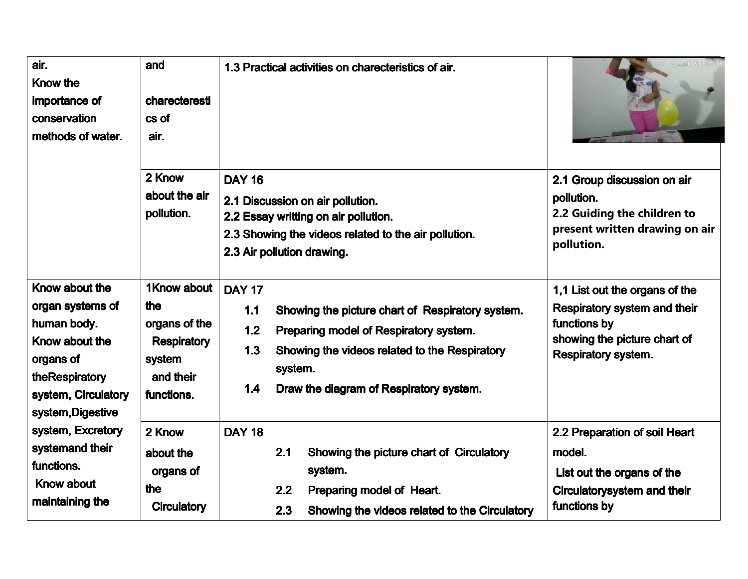| air.<br><b>Know the</b><br>importance of<br>conservation<br>methods of water.                                                                  | and<br>charecteresti<br>cs of<br>air.<br>2 Know<br>about the air<br>pollution.                 | 1.3 Practical activities on charecteristics of air.<br><b>DAY 16</b><br>2.1 Discussion on air pollution.<br>2.2 Essay writting on air pollution.<br>2.3 Showing the videos related to the air pollution.<br>2.3 Air pollution drawing.         | 2.1 Group discussion on air<br>pollution.<br>2.2 Guiding the children to<br>present written drawing on air<br>pollution.                            |
|------------------------------------------------------------------------------------------------------------------------------------------------|------------------------------------------------------------------------------------------------|------------------------------------------------------------------------------------------------------------------------------------------------------------------------------------------------------------------------------------------------|-----------------------------------------------------------------------------------------------------------------------------------------------------|
| Know about the<br>organ systems of<br>human body.<br>Know about the<br>organs of<br>theRespiratory<br>system, Circulatory<br>system, Digestive | 1Know about<br>the<br>organs of the<br><b>Respiratory</b><br>system<br>and their<br>functions. | <b>DAY 17</b><br>1.1<br>Showing the picture chart of Respiratory system.<br>1.2<br>Preparing model of Respiratory system.<br>1.3<br>Showing the videos related to the Respiratory<br>system.<br>Draw the diagram of Respiratory system.<br>1.4 | 1,1 List out the organs of the<br><b>Respiratory system and their</b><br>functions by<br>showing the picture chart of<br><b>Respiratory system.</b> |
| system, Excretory<br>systemand their<br>functions.<br><b>Know about</b><br>maintaining the                                                     | 2 Know<br>about the<br>organs of<br>the<br><b>Circulatory</b>                                  | <b>DAY 18</b><br>2.1<br>Showing the picture chart of Circulatory<br>system.<br>Preparing model of Heart.<br>2.2<br>2.3<br>Showing the videos related to the Circulatory                                                                        | 2.2 Preparation of soil Heart<br>model.<br>List out the organs of the<br>Circulatorysystem and their<br>functions by                                |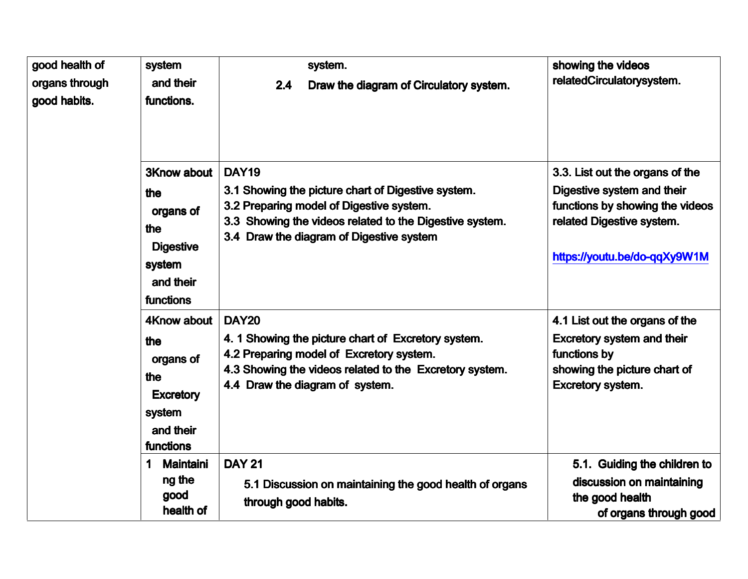| good health of<br>organs through<br>good habits. | system<br>and their<br>functions.                                                                     | system.<br>2.4<br>Draw the diagram of Circulatory system.                                                                                                                                                             | showing the videos<br>relatedCirculatorysystem.                                                                                                               |
|--------------------------------------------------|-------------------------------------------------------------------------------------------------------|-----------------------------------------------------------------------------------------------------------------------------------------------------------------------------------------------------------------------|---------------------------------------------------------------------------------------------------------------------------------------------------------------|
|                                                  | <b>3Know about</b><br>the<br>organs of<br>the<br><b>Digestive</b><br>system<br>and their<br>functions | <b>DAY19</b><br>3.1 Showing the picture chart of Digestive system.<br>3.2 Preparing model of Digestive system.<br>3.3 Showing the videos related to the Digestive system.<br>3.4 Draw the diagram of Digestive system | 3.3. List out the organs of the<br>Digestive system and their<br>functions by showing the videos<br>related Digestive system.<br>https://youtu.be/do-qqXy9W1M |
|                                                  | 4Know about<br>the<br>organs of<br>the<br><b>Excretory</b><br>system<br>and their<br>functions        | <b>DAY20</b><br>4. 1 Showing the picture chart of Excretory system.<br>4.2 Preparing model of Excretory system.<br>4.3 Showing the videos related to the Excretory system.<br>4.4 Draw the diagram of system.         | 4.1 List out the organs of the<br><b>Excretory system and their</b><br>functions by<br>showing the picture chart of<br><b>Excretory system.</b>               |
|                                                  | <b>Maintaini</b><br>1<br>ng the<br>good<br>health of                                                  | <b>DAY 21</b><br>5.1 Discussion on maintaining the good health of organs<br>through good habits.                                                                                                                      | 5.1. Guiding the children to<br>discussion on maintaining<br>the good health<br>of organs through good                                                        |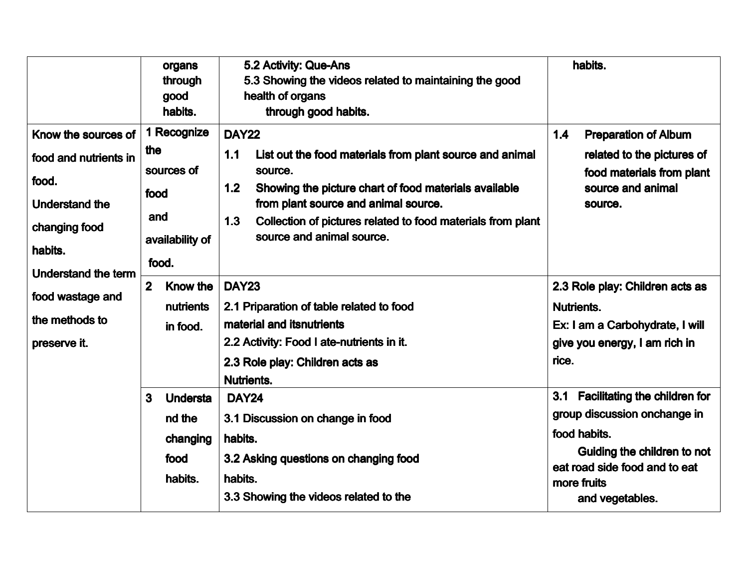|                                                                                                            |                | organs<br>through<br>good<br>habits.                         |                                    | 5.2 Activity: Que-Ans<br>5.3 Showing the videos related to maintaining the good<br>health of organs<br>through good habits.                                                                                                                                      |                            | habits.                                                                                                                                                                                |
|------------------------------------------------------------------------------------------------------------|----------------|--------------------------------------------------------------|------------------------------------|------------------------------------------------------------------------------------------------------------------------------------------------------------------------------------------------------------------------------------------------------------------|----------------------------|----------------------------------------------------------------------------------------------------------------------------------------------------------------------------------------|
| Know the sources of<br>food and nutrients in<br>food.<br><b>Understand the</b><br>changing food<br>habits. | the<br>food    | 1 Recognize<br>sources of<br>and<br>availability of<br>food. | <b>DAY22</b><br>1.1<br>1.2<br>1.3  | List out the food materials from plant source and animal<br>source.<br>Showing the picture chart of food materials available<br>from plant source and animal source.<br>Collection of pictures related to food materials from plant<br>source and animal source. | 1.4                        | <b>Preparation of Album</b><br>related to the pictures of<br>food materials from plant<br>source and animal<br>source.                                                                 |
| <b>Understand the term</b><br>food wastage and<br>the methods to<br>preserve it.                           | $\overline{2}$ | <b>Know the</b><br>nutrients<br>in food.                     | <b>DAY23</b><br><b>Nutrients.</b>  | 2.1 Priparation of table related to food<br>material and itsnutrients<br>2.2 Activity: Food I ate-nutrients in it.<br>2.3 Role play: Children acts as                                                                                                            | <b>Nutrients.</b><br>rice. | 2.3 Role play: Children acts as<br>Ex: I am a Carbohydrate, I will<br>give you energy, I am rich in                                                                                    |
|                                                                                                            | 3              | <b>Understa</b><br>nd the<br>changing<br>food<br>habits.     | <b>DAY24</b><br>habits.<br>habits. | 3.1 Discussion on change in food<br>3.2 Asking questions on changing food<br>3.3 Showing the videos related to the                                                                                                                                               | 3.1                        | <b>Facilitating the children for</b><br>group discussion onchange in<br>food habits.<br>Guiding the children to not<br>eat road side food and to eat<br>more fruits<br>and vegetables. |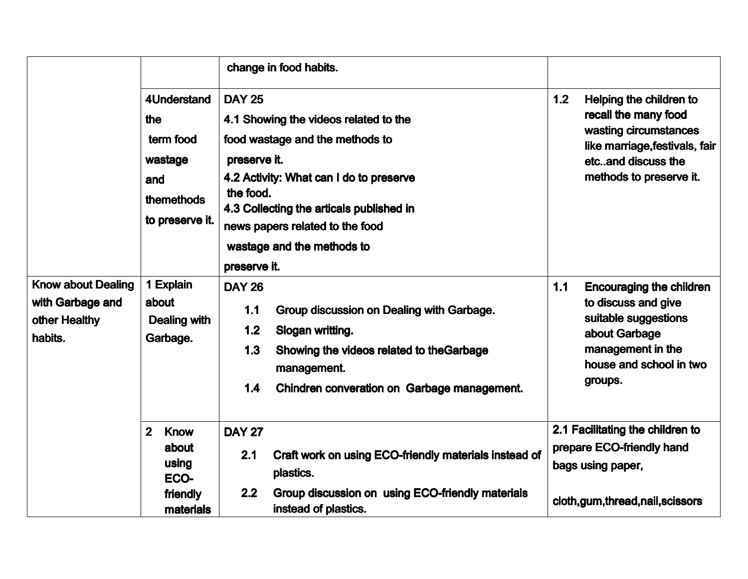|                                                                           |                                                                                           | change in food habits.                                                                                                                                                                                                                                                                         |                                                                                                                                                                    |
|---------------------------------------------------------------------------|-------------------------------------------------------------------------------------------|------------------------------------------------------------------------------------------------------------------------------------------------------------------------------------------------------------------------------------------------------------------------------------------------|--------------------------------------------------------------------------------------------------------------------------------------------------------------------|
|                                                                           | <b>4Understand</b><br>the<br>term food<br>wastage<br>and<br>themethods<br>to preserve it. | <b>DAY 25</b><br>4.1 Showing the videos related to the<br>food wastage and the methods to<br>preserve it.<br>4.2 Activity: What can I do to preserve<br>the food.<br>4.3 Collecting the articals published in<br>news papers related to the food<br>wastage and the methods to<br>preserve it. | 1.2<br>Helping the children to<br>recall the many food<br>wasting circumstances<br>like marriage, festivals, fair<br>etcand discuss the<br>methods to preserve it. |
| <b>Know about Dealing</b><br>with Garbage and<br>other Healthy<br>habits. | 1 Explain<br>about<br><b>Dealing with</b><br>Garbage.                                     | <b>DAY 26</b><br>1.1<br>Group discussion on Dealing with Garbage.<br>1.2<br>Slogan writting.<br>1.3<br>Showing the videos related to the Garbage<br>management.<br>1.4<br>Chindren converation on Garbage management.                                                                          | 1.1<br><b>Encouraging the children</b><br>to discuss and give<br>suitable suggestions<br>about Garbage<br>management in the<br>house and school in two<br>groups.  |
|                                                                           | $\overline{2}$<br><b>Know</b><br>about<br>using<br>ECO-<br>friendly                       | <b>DAY 27</b><br>2.1<br>Craft work on using ECO-friendly materials instead of<br>plastics.<br>2.2<br>Group discussion on using ECO-friendly materials                                                                                                                                          | 2.1 Facilitating the children to<br>prepare ECO-friendly hand<br>bags using paper,<br>cloth,gum,thread,nail,scissors                                               |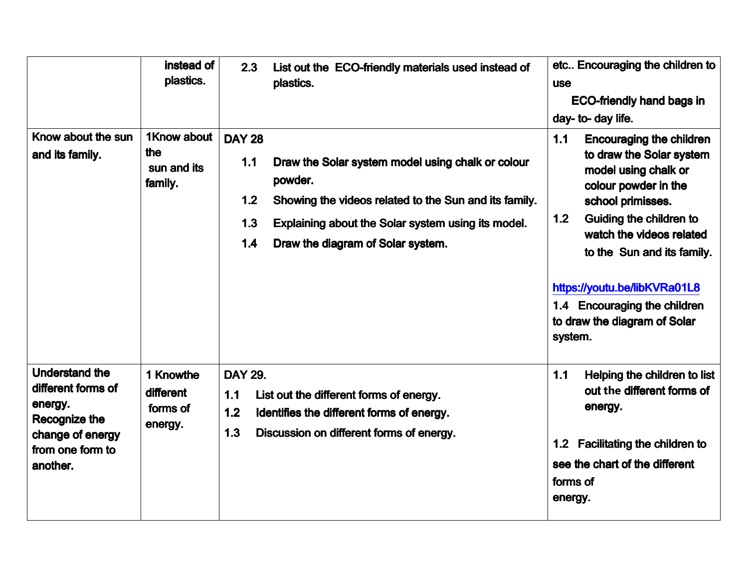|                                                                                                                             | instead of<br>plastics.                       | 2.3<br>List out the ECO-friendly materials used instead of<br>plastics.                                                                                                                                                                                       | etc Encouraging the children to<br><b>use</b><br><b>ECO-friendly hand bags in</b><br>day- to- day life.                                                                                                                                                                                                                                        |
|-----------------------------------------------------------------------------------------------------------------------------|-----------------------------------------------|---------------------------------------------------------------------------------------------------------------------------------------------------------------------------------------------------------------------------------------------------------------|------------------------------------------------------------------------------------------------------------------------------------------------------------------------------------------------------------------------------------------------------------------------------------------------------------------------------------------------|
| Know about the sun<br>and its family.                                                                                       | 1Know about<br>the<br>sun and its<br>family.  | <b>DAY 28</b><br>1.1<br>Draw the Solar system model using chalk or colour<br>powder.<br>Showing the videos related to the Sun and its family.<br>1.2<br>1.3<br>Explaining about the Solar system using its model.<br>1.4<br>Draw the diagram of Solar system. | 1.1<br><b>Encouraging the children</b><br>to draw the Solar system<br>model using chalk or<br>colour powder in the<br>school primisses.<br>Guiding the children to<br>1.2<br>watch the videos related<br>to the Sun and its family.<br>https://youtu.be/libKVRa01L8<br>1.4 Encouraging the children<br>to draw the diagram of Solar<br>system. |
| <b>Understand the</b><br>different forms of<br>energy.<br>Recognize the<br>change of energy<br>from one form to<br>another. | 1 Knowthe<br>different<br>forms of<br>energy. | <b>DAY 29.</b><br>1.1<br>List out the different forms of energy.<br>1.2<br>Identifies the different forms of energy.<br>1.3<br>Discussion on different forms of energy.                                                                                       | 1.1<br>Helping the children to list<br>out the different forms of<br>energy.<br><b>Facilitating the children to</b><br>1.2<br>see the chart of the different<br>forms of<br>energy.                                                                                                                                                            |